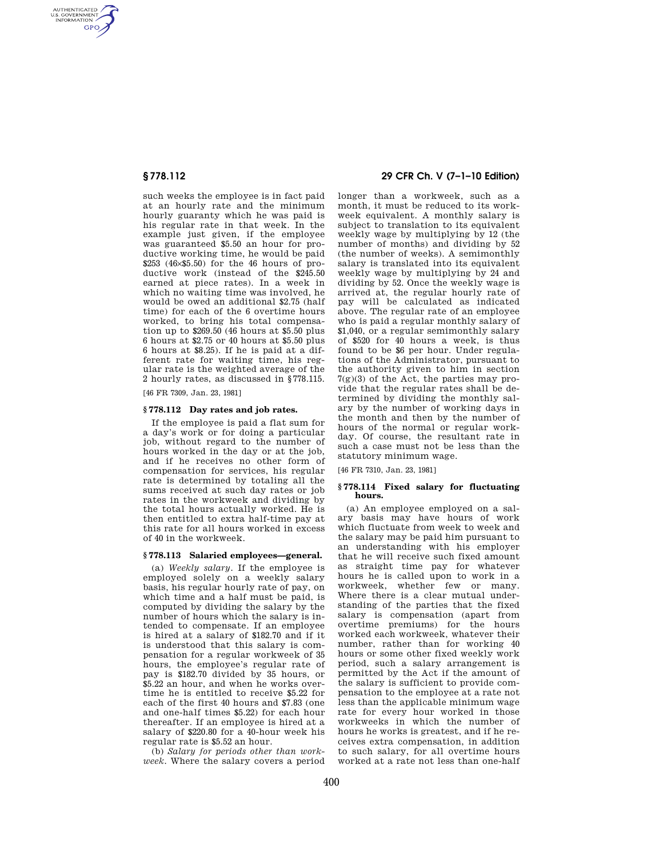AUTHENTICATED<br>U.S. GOVERNMENT<br>INFORMATION **GPO** 

> such weeks the employee is in fact paid at an hourly rate and the minimum hourly guaranty which he was paid is his regular rate in that week. In the example just given, if the employee was guaranteed \$5.50 an hour for productive working time, he would be paid \$253 (46×\$5.50) for the 46 hours of productive work (instead of the \$245.50 earned at piece rates). In a week in which no waiting time was involved, he would be owed an additional \$2.75 (half time) for each of the 6 overtime hours worked, to bring his total compensation up to \$269.50 (46 hours at \$5.50 plus 6 hours at \$2.75 or 40 hours at \$5.50 plus 6 hours at \$8.25). If he is paid at a different rate for waiting time, his regular rate is the weighted average of the 2 hourly rates, as discussed in §778.115.

[46 FR 7309, Jan. 23, 1981]

### **§ 778.112 Day rates and job rates.**

If the employee is paid a flat sum for a day's work or for doing a particular job, without regard to the number of hours worked in the day or at the job, and if he receives no other form of compensation for services, his regular rate is determined by totaling all the sums received at such day rates or job rates in the workweek and dividing by the total hours actually worked. He is then entitled to extra half-time pay at this rate for all hours worked in excess of 40 in the workweek.

#### **§ 778.113 Salaried employees—general.**

(a) *Weekly salary.* If the employee is employed solely on a weekly salary basis, his regular hourly rate of pay, on which time and a half must be paid, is computed by dividing the salary by the number of hours which the salary is intended to compensate. If an employee is hired at a salary of \$182.70 and if it is understood that this salary is compensation for a regular workweek of 35 hours, the employee's regular rate of pay is \$182.70 divided by 35 hours, or \$5.22 an hour, and when he works overtime he is entitled to receive \$5.22 for each of the first 40 hours and \$7.83 (one and one-half times \$5.22) for each hour thereafter. If an employee is hired at a salary of \$220.80 for a 40-hour week his regular rate is \$5.52 an hour.

(b) *Salary for periods other than workweek.* Where the salary covers a period

# **§ 778.112 29 CFR Ch. V (7–1–10 Edition)**

longer than a workweek, such as a month, it must be reduced to its workweek equivalent. A monthly salary is subject to translation to its equivalent weekly wage by multiplying by 12 (the number of months) and dividing by 52 (the number of weeks). A semimonthly salary is translated into its equivalent weekly wage by multiplying by 24 and dividing by 52. Once the weekly wage is arrived at, the regular hourly rate of pay will be calculated as indicated above. The regular rate of an employee who is paid a regular monthly salary of \$1,040, or a regular semimonthly salary of \$520 for 40 hours a week, is thus found to be \$6 per hour. Under regulations of the Administrator, pursuant to the authority given to him in section 7(g)(3) of the Act, the parties may provide that the regular rates shall be determined by dividing the monthly salary by the number of working days in the month and then by the number of hours of the normal or regular workday. Of course, the resultant rate in such a case must not be less than the statutory minimum wage.

[46 FR 7310, Jan. 23, 1981]

### **§ 778.114 Fixed salary for fluctuating hours.**

(a) An employee employed on a salary basis may have hours of work which fluctuate from week to week and the salary may be paid him pursuant to an understanding with his employer that he will receive such fixed amount as straight time pay for whatever hours he is called upon to work in a workweek, whether few or many. Where there is a clear mutual understanding of the parties that the fixed salary is compensation (apart from overtime premiums) for the hours worked each workweek, whatever their number, rather than for working 40 hours or some other fixed weekly work period, such a salary arrangement is permitted by the Act if the amount of the salary is sufficient to provide compensation to the employee at a rate not less than the applicable minimum wage rate for every hour worked in those workweeks in which the number of hours he works is greatest, and if he receives extra compensation, in addition to such salary, for all overtime hours worked at a rate not less than one-half